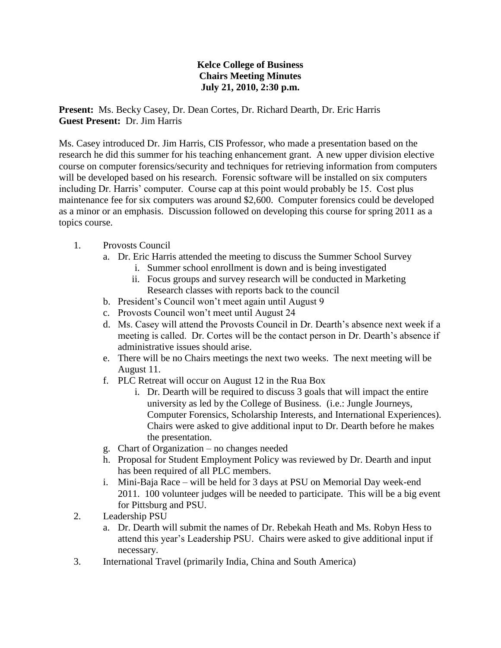## **Kelce College of Business Chairs Meeting Minutes July 21, 2010, 2:30 p.m.**

**Present:** Ms. Becky Casey, Dr. Dean Cortes, Dr. Richard Dearth, Dr. Eric Harris **Guest Present:** Dr. Jim Harris

Ms. Casey introduced Dr. Jim Harris, CIS Professor, who made a presentation based on the research he did this summer for his teaching enhancement grant. A new upper division elective course on computer forensics/security and techniques for retrieving information from computers will be developed based on his research. Forensic software will be installed on six computers including Dr. Harris' computer. Course cap at this point would probably be 15. Cost plus maintenance fee for six computers was around \$2,600. Computer forensics could be developed as a minor or an emphasis. Discussion followed on developing this course for spring 2011 as a topics course.

## 1. Provosts Council

- a. Dr. Eric Harris attended the meeting to discuss the Summer School Survey
	- i. Summer school enrollment is down and is being investigated
	- ii. Focus groups and survey research will be conducted in Marketing Research classes with reports back to the council
- b. President's Council won't meet again until August 9
- c. Provosts Council won't meet until August 24
- d. Ms. Casey will attend the Provosts Council in Dr. Dearth's absence next week if a meeting is called. Dr. Cortes will be the contact person in Dr. Dearth's absence if administrative issues should arise.
- e. There will be no Chairs meetings the next two weeks. The next meeting will be August 11.
- f. PLC Retreat will occur on August 12 in the Rua Box
	- i. Dr. Dearth will be required to discuss 3 goals that will impact the entire university as led by the College of Business. (i.e.: Jungle Journeys, Computer Forensics, Scholarship Interests, and International Experiences). Chairs were asked to give additional input to Dr. Dearth before he makes the presentation.
- g. Chart of Organization no changes needed
- h. Proposal for Student Employment Policy was reviewed by Dr. Dearth and input has been required of all PLC members.
- i. Mini-Baja Race will be held for 3 days at PSU on Memorial Day week-end 2011. 100 volunteer judges will be needed to participate. This will be a big event for Pittsburg and PSU.
- 2. Leadership PSU
	- a. Dr. Dearth will submit the names of Dr. Rebekah Heath and Ms. Robyn Hess to attend this year's Leadership PSU. Chairs were asked to give additional input if necessary.
- 3. International Travel (primarily India, China and South America)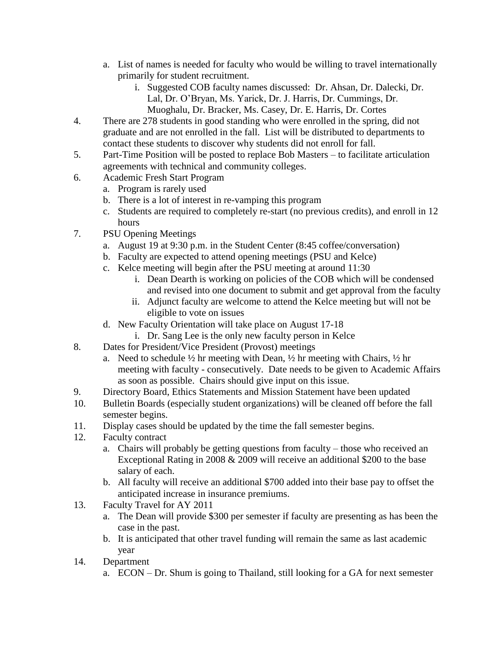- a. List of names is needed for faculty who would be willing to travel internationally primarily for student recruitment.
	- i. Suggested COB faculty names discussed: Dr. Ahsan, Dr. Dalecki, Dr. Lal, Dr. O'Bryan, Ms. Yarick, Dr. J. Harris, Dr. Cummings, Dr. Muoghalu, Dr. Bracker, Ms. Casey, Dr. E. Harris, Dr. Cortes
- 4. There are 278 students in good standing who were enrolled in the spring, did not graduate and are not enrolled in the fall. List will be distributed to departments to contact these students to discover why students did not enroll for fall.
- 5. Part-Time Position will be posted to replace Bob Masters to facilitate articulation agreements with technical and community colleges.
- 6. Academic Fresh Start Program
	- a. Program is rarely used
	- b. There is a lot of interest in re-vamping this program
	- c. Students are required to completely re-start (no previous credits), and enroll in 12 hours
- 7. PSU Opening Meetings
	- a. August 19 at 9:30 p.m. in the Student Center (8:45 coffee/conversation)
	- b. Faculty are expected to attend opening meetings (PSU and Kelce)
	- c. Kelce meeting will begin after the PSU meeting at around 11:30
		- i. Dean Dearth is working on policies of the COB which will be condensed and revised into one document to submit and get approval from the faculty
		- ii. Adjunct faculty are welcome to attend the Kelce meeting but will not be eligible to vote on issues
	- d. New Faculty Orientation will take place on August 17-18
	- i. Dr. Sang Lee is the only new faculty person in Kelce
- 8. Dates for President/Vice President (Provost) meetings
	- a. Need to schedule  $\frac{1}{2}$  hr meeting with Dean,  $\frac{1}{2}$  hr meeting with Chairs,  $\frac{1}{2}$  hr meeting with faculty - consecutively. Date needs to be given to Academic Affairs as soon as possible. Chairs should give input on this issue.
- 9. Directory Board, Ethics Statements and Mission Statement have been updated
- 10. Bulletin Boards (especially student organizations) will be cleaned off before the fall semester begins.
- 11. Display cases should be updated by the time the fall semester begins.
- 12. Faculty contract
	- a. Chairs will probably be getting questions from faculty those who received an Exceptional Rating in 2008 & 2009 will receive an additional \$200 to the base salary of each.
	- b. All faculty will receive an additional \$700 added into their base pay to offset the anticipated increase in insurance premiums.
- 13. Faculty Travel for AY 2011
	- a. The Dean will provide \$300 per semester if faculty are presenting as has been the case in the past.
	- b. It is anticipated that other travel funding will remain the same as last academic year
- 14. Department
	- a. ECON Dr. Shum is going to Thailand, still looking for a GA for next semester